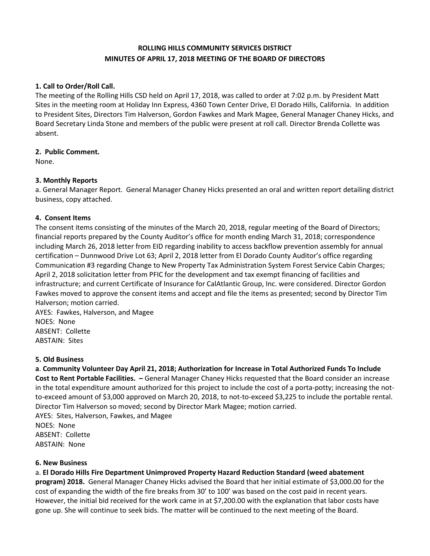# **ROLLING HILLS COMMUNITY SERVICES DISTRICT MINUTES OF APRIL 17, 2018 MEETING OF THE BOARD OF DIRECTORS**

## **1. Call to Order/Roll Call.**

The meeting of the Rolling Hills CSD held on April 17, 2018, was called to order at 7:02 p.m. by President Matt Sites in the meeting room at Holiday Inn Express, 4360 Town Center Drive, El Dorado Hills, California. In addition to President Sites, Directors Tim Halverson, Gordon Fawkes and Mark Magee, General Manager Chaney Hicks, and Board Secretary Linda Stone and members of the public were present at roll call. Director Brenda Collette was absent.

## **2. Public Comment.**

None.

## **3. Monthly Reports**

a. General Manager Report. General Manager Chaney Hicks presented an oral and written report detailing district business, copy attached.

## **4. Consent Items**

The consent items consisting of the minutes of the March 20, 2018, regular meeting of the Board of Directors; financial reports prepared by the County Auditor's office for month ending March 31, 2018; correspondence including March 26, 2018 letter from EID regarding inability to access backflow prevention assembly for annual certification – Dunnwood Drive Lot 63; April 2, 2018 letter from El Dorado County Auditor's office regarding Communication #3 regarding Change to New Property Tax Administration System Forest Service Cabin Charges; April 2, 2018 solicitation letter from PFIC for the development and tax exempt financing of facilities and infrastructure; and current Certificate of Insurance for CalAtlantic Group, Inc. were considered. Director Gordon Fawkes moved to approve the consent items and accept and file the items as presented; second by Director Tim Halverson; motion carried.

AYES: Fawkes, Halverson, and Magee NOES: None ABSENT: Collette ABSTAIN: Sites

#### **5. Old Business**

**a**. **Community Volunteer Day April 21, 2018; Authorization for Increase in Total Authorized Funds To Include Cost to Rent Portable Facilities. –** General Manager Chaney Hicks requested that the Board consider an increase in the total expenditure amount authorized for this project to include the cost of a porta-potty; increasing the notto-exceed amount of \$3,000 approved on March 20, 2018, to not-to-exceed \$3,225 to include the portable rental. Director Tim Halverson so moved; second by Director Mark Magee; motion carried.

AYES: Sites, Halverson, Fawkes, and Magee NOES: None ABSENT: Collette ABSTAIN: None

#### **6. New Business**

a. **El Dorado Hills Fire Department Unimproved Property Hazard Reduction Standard (weed abatement** 

**program) 2018.** General Manager Chaney Hicks advised the Board that her initial estimate of \$3,000.00 for the cost of expanding the width of the fire breaks from 30' to 100' was based on the cost paid in recent years. However, the initial bid received for the work came in at \$7,200.00 with the explanation that labor costs have gone up. She will continue to seek bids. The matter will be continued to the next meeting of the Board.